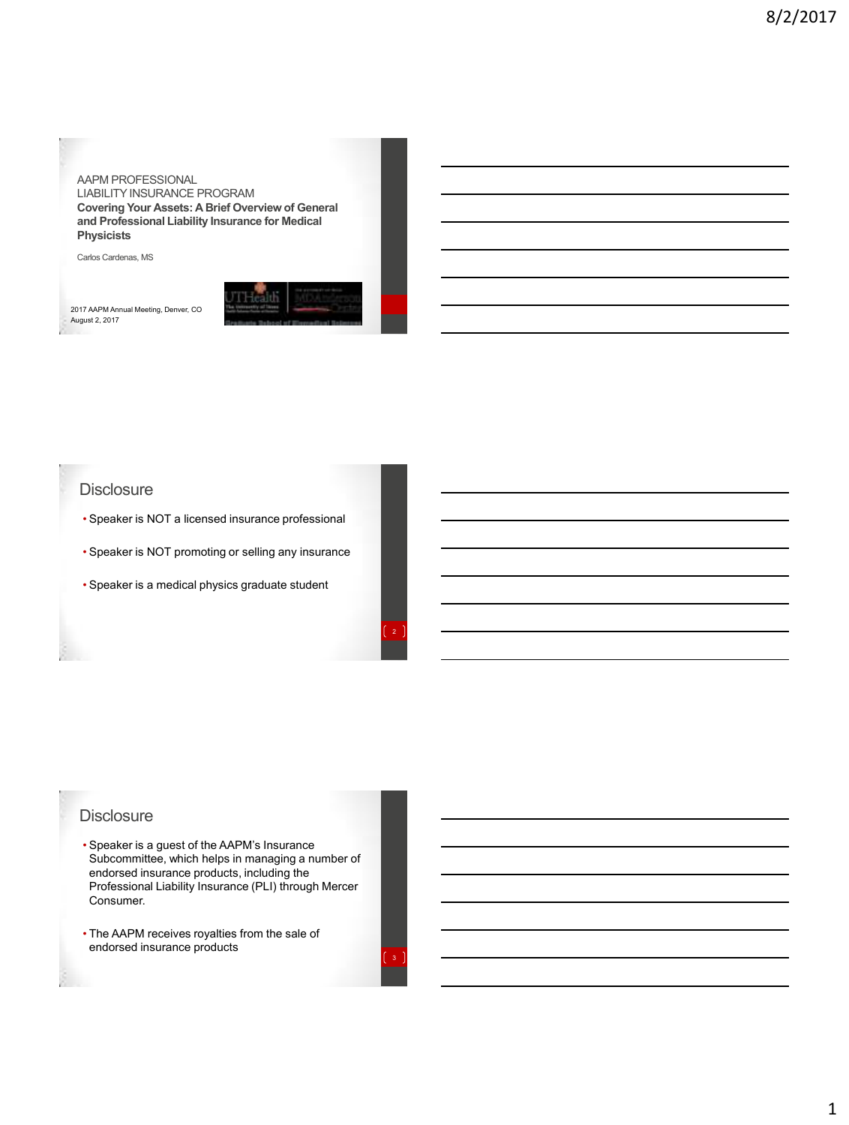#### AAPM PROFESSIONAL

LIABILITY INSURANCE PROGRAM **Covering Your Assets: A Brief Overview of General and Professional Liability Insurance for Medical Physicists**

Carlos Cardenas, MS

2017 AAPM Annual Meeting, Denver, CO August 2, 2017



#### **Disclosure**

- Speaker is NOT a licensed insurance professional
- Speaker is NOT promoting or selling any insurance
- Speaker is a medical physics graduate student

#### **Disclosure**

- Speaker is a guest of the AAPM's Insurance Subcommittee, which helps in managing a number of endorsed insurance products, including the Professional Liability Insurance (PLI) through Mercer Consumer.
- The AAPM receives royalties from the sale of endorsed insurance products

3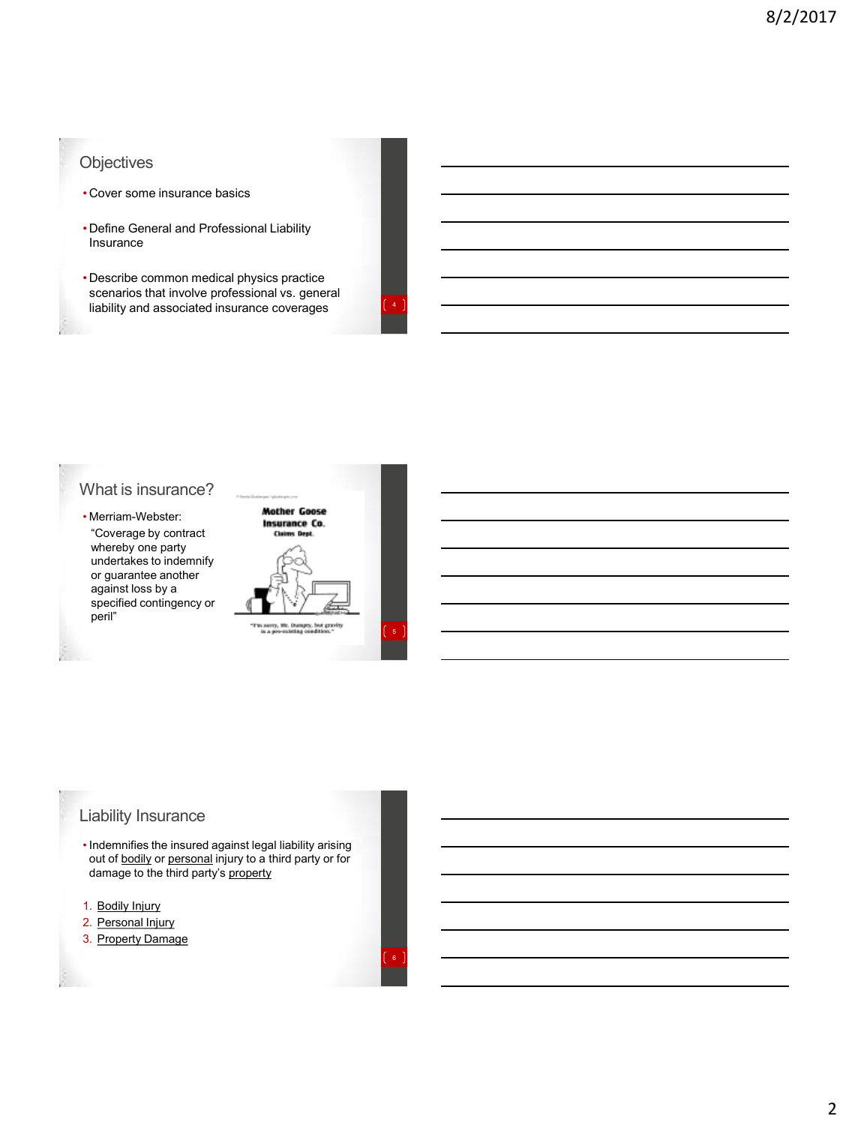## **Objectives**

- Cover some insurance basics
- Define General and Professional Liability Insurance
- Describe common medical physics practice scenarios that involve professional vs. general liability and associated insurance coverages <sup>4</sup>

6

## What is insurance?

• Merriam-Webster: "Coverage by contract whereby one party undertakes to indemnify or guarantee another against loss by a specified contingency or peril"



## Liability Insurance

- Indemnifies the insured against legal liability arising out of **bodily** or personal injury to a third party or for damage to the third party's property
- 1. Bodily Injury
- 2. Personal Injury
- 3. Property Damage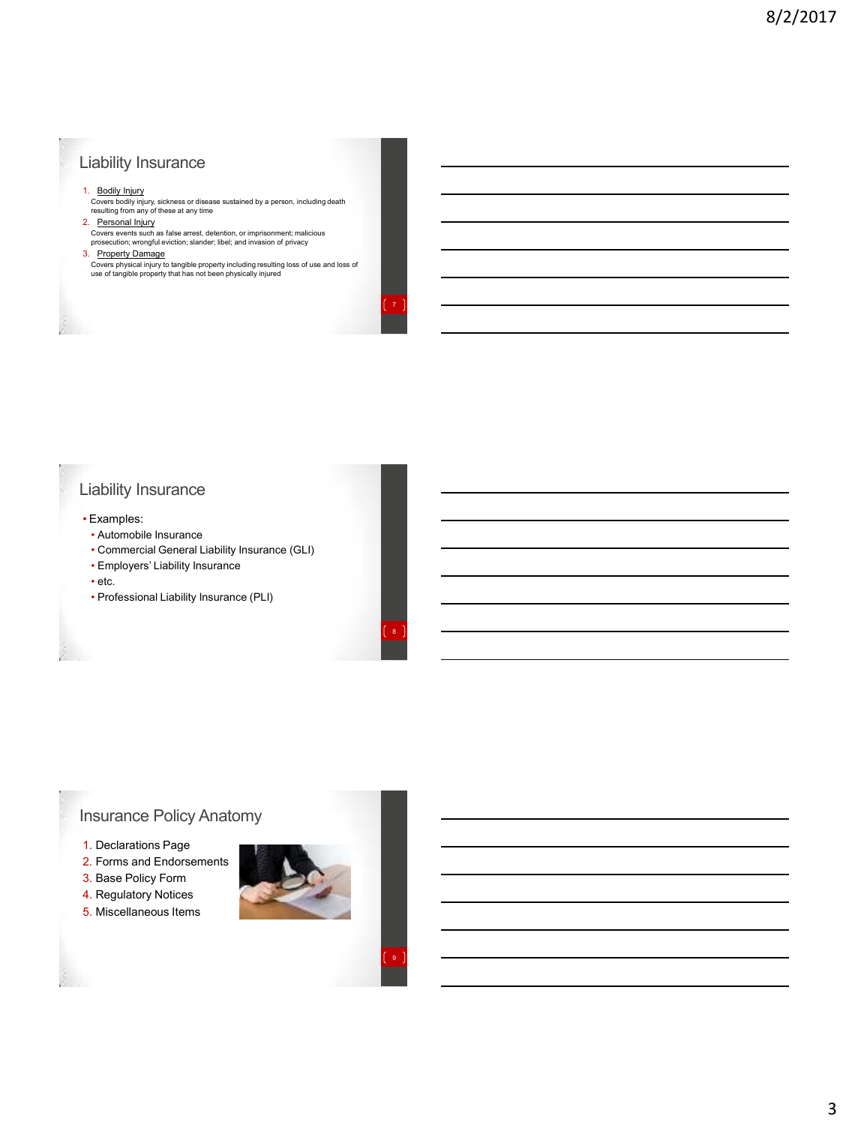## Liability Insurance

#### 1. Bodily Injury

Covers bodily injury, sickness or disease sustained by a person, including death resulting from any of these at any time

2. Personal Injury<br>Covers events such as false arrest, detention, or imprisonment; malicious<br>prosecution; wrongful eviction; slander; libel; and invasion of privacy

#### 3. Property Damage

Covers physical injury to tangible property including resulting loss of use and loss of use of tangible property that has not been physically injured

7

8

9

# Liability Insurance

- Examples:
- Automobile Insurance
- Commercial General Liability Insurance (GLI)
- Employers' Liability Insurance
- etc.
- Professional Liability Insurance (PLI)

# Insurance Policy Anatomy

- 1. Declarations Page
- 2. Forms and Endorsements
- 3. Base Policy Form
- 4. Regulatory Notices
- 5. Miscellaneous Items

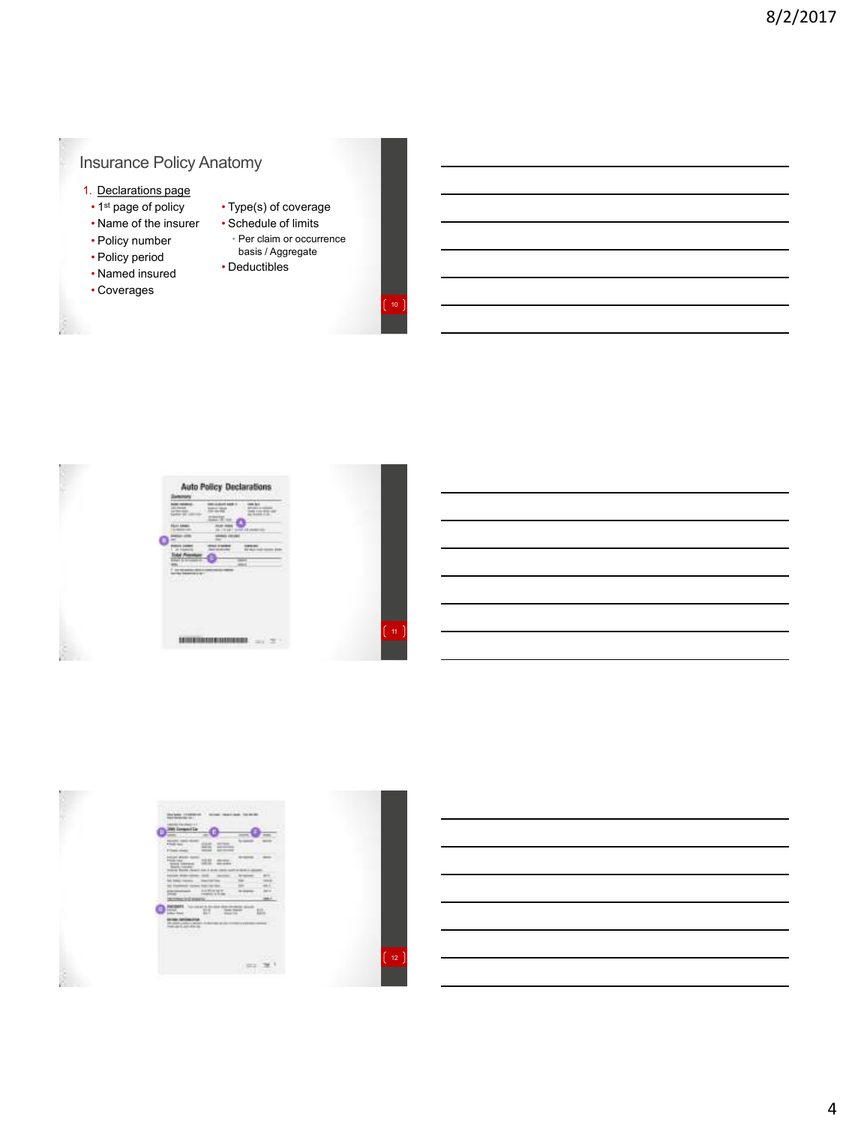# Insurance Policy Anatomy

- 1. Declarations page
	- 1<sup>st</sup> page of policy
- Name of the insurer
- Policy number
- Policy period
- Named insured
- Coverages
- Type(s) of coverage • Schedule of limits
	- Per claim or occurrence basis / Aggregate
- Deductibles



 $\begin{bmatrix} 10 \end{bmatrix}$ 









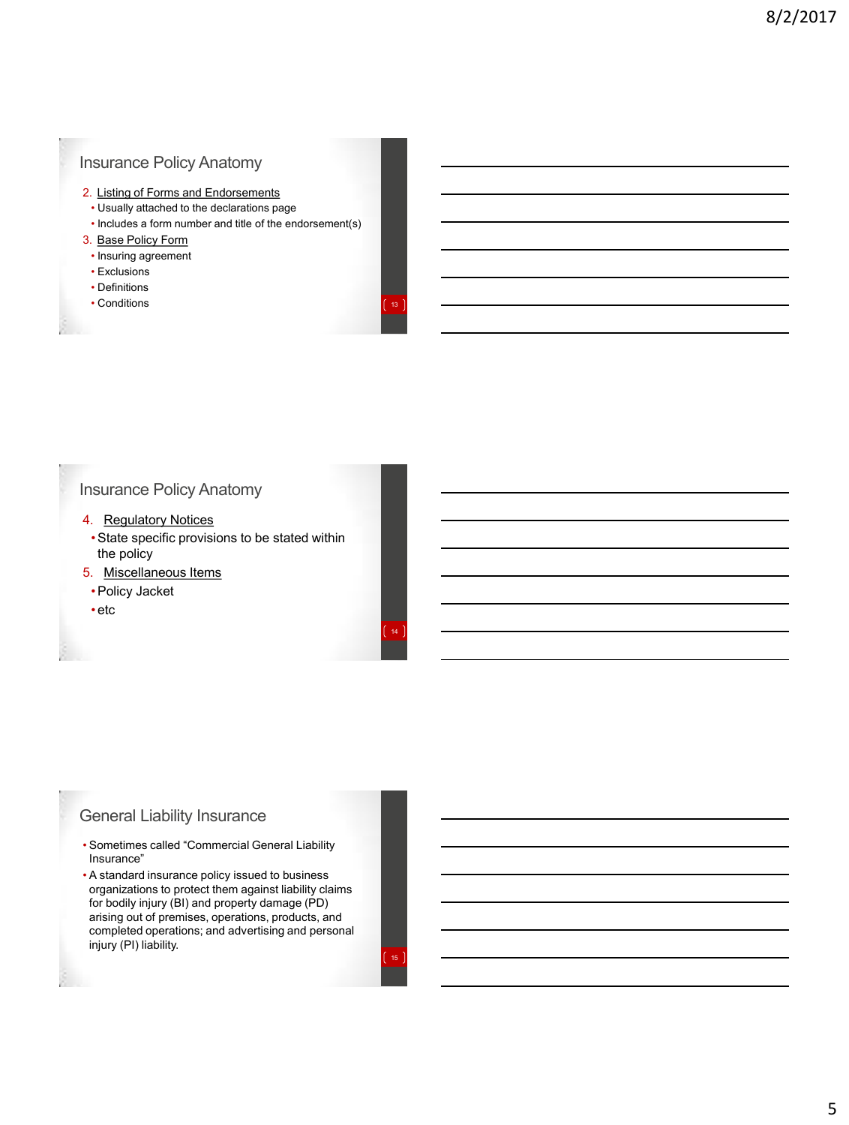## Insurance Policy Anatomy

- 2. Listing of Forms and Endorsements
- Usually attached to the declarations page
- Includes a form number and title of the endorsement(s)
- 3. Base Policy Form
	- Insuring agreement
- Exclusions
- Definitions
- Conditions

# Insurance Policy Anatomy

- 4. Regulatory Notices
	- •State specific provisions to be stated within the policy
- 5. Miscellaneous Items
- •Policy Jacket
- etc

### General Liability Insurance

- Sometimes called "Commercial General Liability Insurance"
- A standard insurance policy issued to business organizations to protect them against liability claims for bodily injury (BI) and property damage (PD) arising out of premises, operations, products, and completed operations; and advertising and personal injury (PI) liability.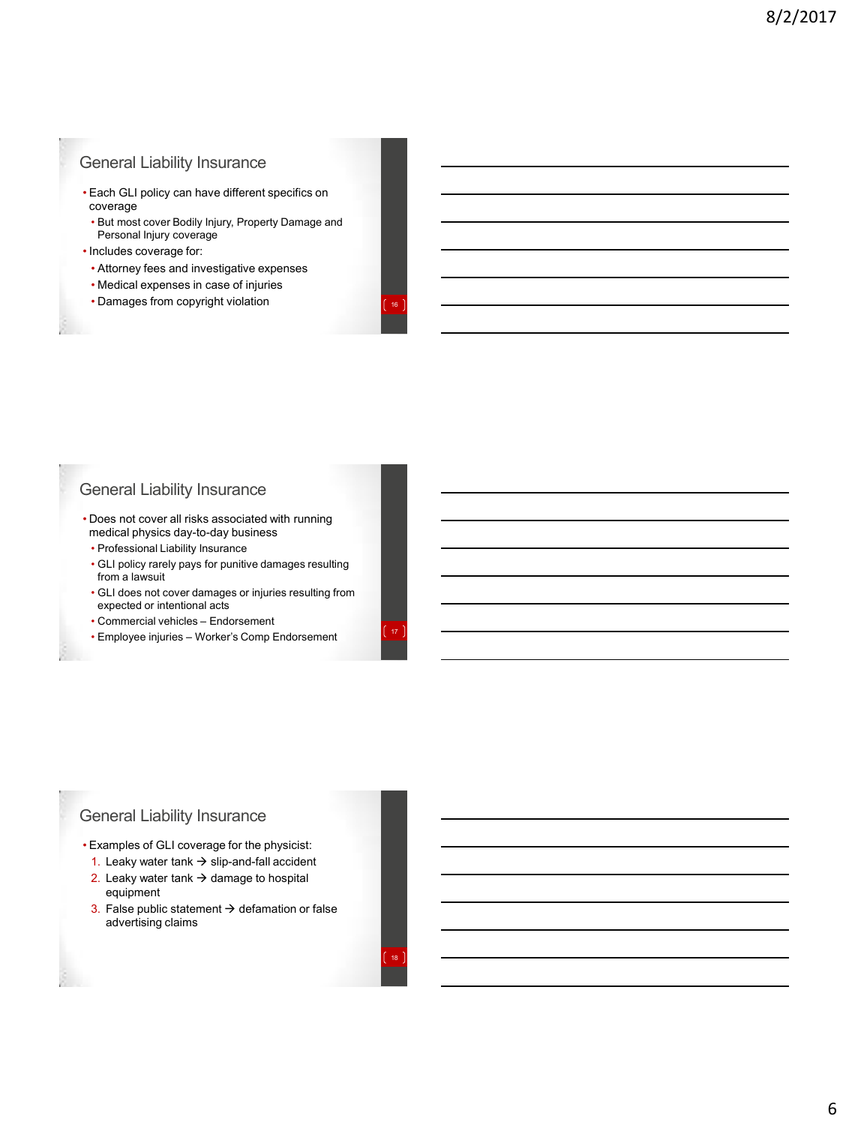## General Liability Insurance

- Each GLI policy can have different specifics on coverage
	- But most cover Bodily Injury, Property Damage and Personal Injury coverage
- Includes coverage for:
- Attorney fees and investigative expenses
- Medical expenses in case of injuries
- Damages from copyright violation

## General Liability Insurance

- Does not cover all risks associated with running medical physics day-to-day business
- Professional Liability Insurance
- GLI policy rarely pays for punitive damages resulting from a lawsuit
- GLI does not cover damages or injuries resulting from expected or intentional acts
- Commercial vehicles Endorsement
- Employee injuries Worker's Comp Endorsement

## General Liability Insurance

- Examples of GLI coverage for the physicist:
	- 1. Leaky water tank  $\rightarrow$  slip-and-fall accident 2. Leaky water tank  $\rightarrow$  damage to hospital
	- equipment 3. False public statement  $\rightarrow$  defamation or false advertising claims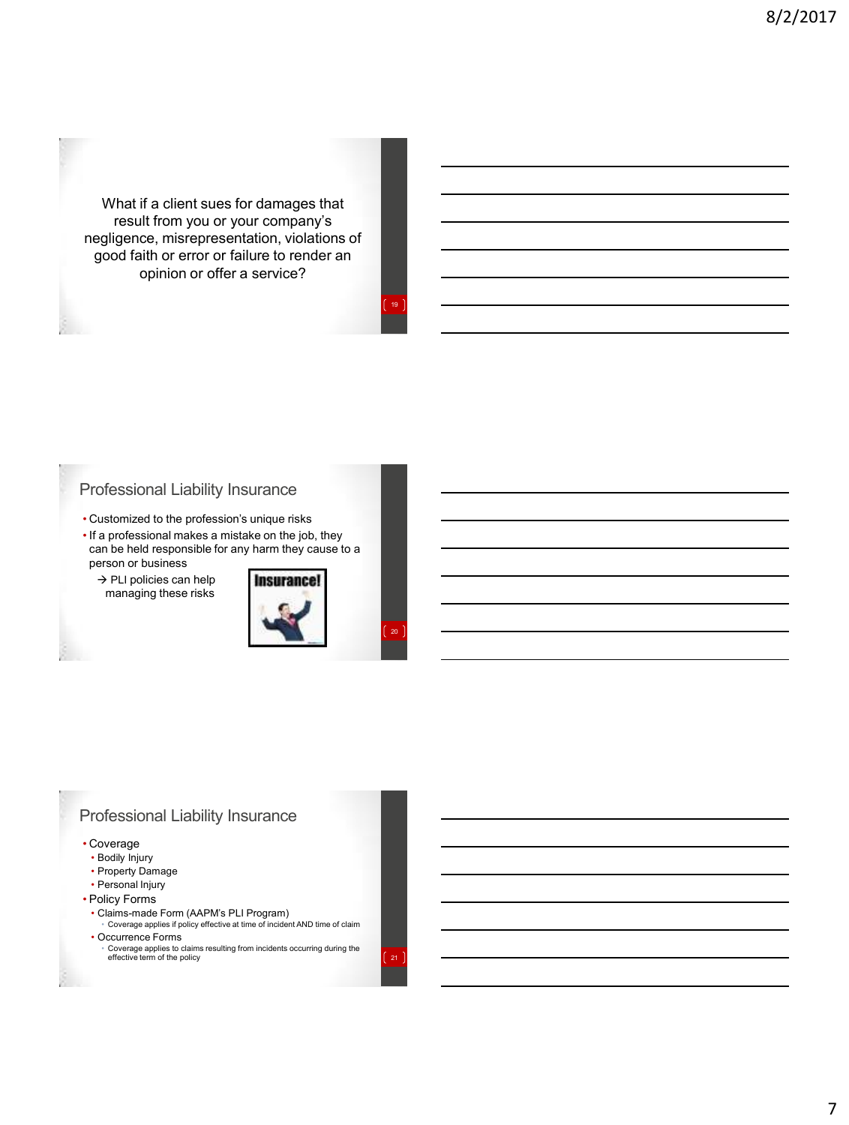What if a client sues for damages that result from you or your company's negligence, misrepresentation, violations of good faith or error or failure to render an opinion or offer a service?

## Professional Liability Insurance

- Customized to the profession's unique risks
- If a professional makes a mistake on the job, they can be held responsible for any harm they cause to a person or business

 $\rightarrow$  PLI policies can help managing these risks



19

# Professional Liability Insurance

#### • Coverage

- Bodily Injury
- Property Damage
- Personal Injury
- Policy Forms
	- Claims-made Form (AAPM's PLI Program) Coverage applies if policy effective at time of incident AND time of claim
- Occurrence Forms

• Coverage applies to claims resulting from incidents occurring during the **1996**<br>effective term of the policy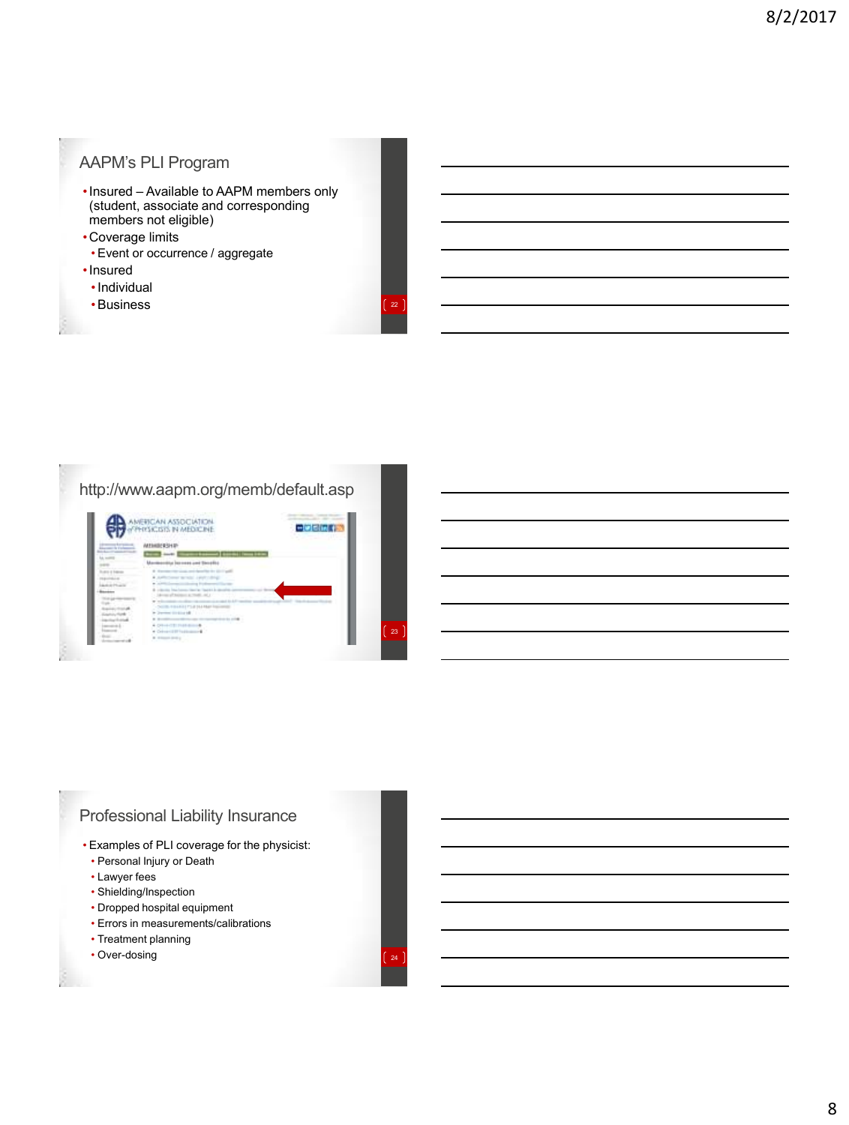# AAPM's PLI Program

- •Insured Available to AAPM members only (student, associate and corresponding members not eligible)
- •Coverage limits
- Event or occurrence / aggregate
- •Insured
	- •Individual
	- •Business

## http://www.aapm.org/memb/default.asp



## Professional Liability Insurance

- Examples of PLI coverage for the physicist:
- Personal Injury or Death
- Lawyer fees
- Shielding/Inspection
- Dropped hospital equipment
- Errors in measurements/calibrations
- Treatment planning
- $\cdot$  Over-dosing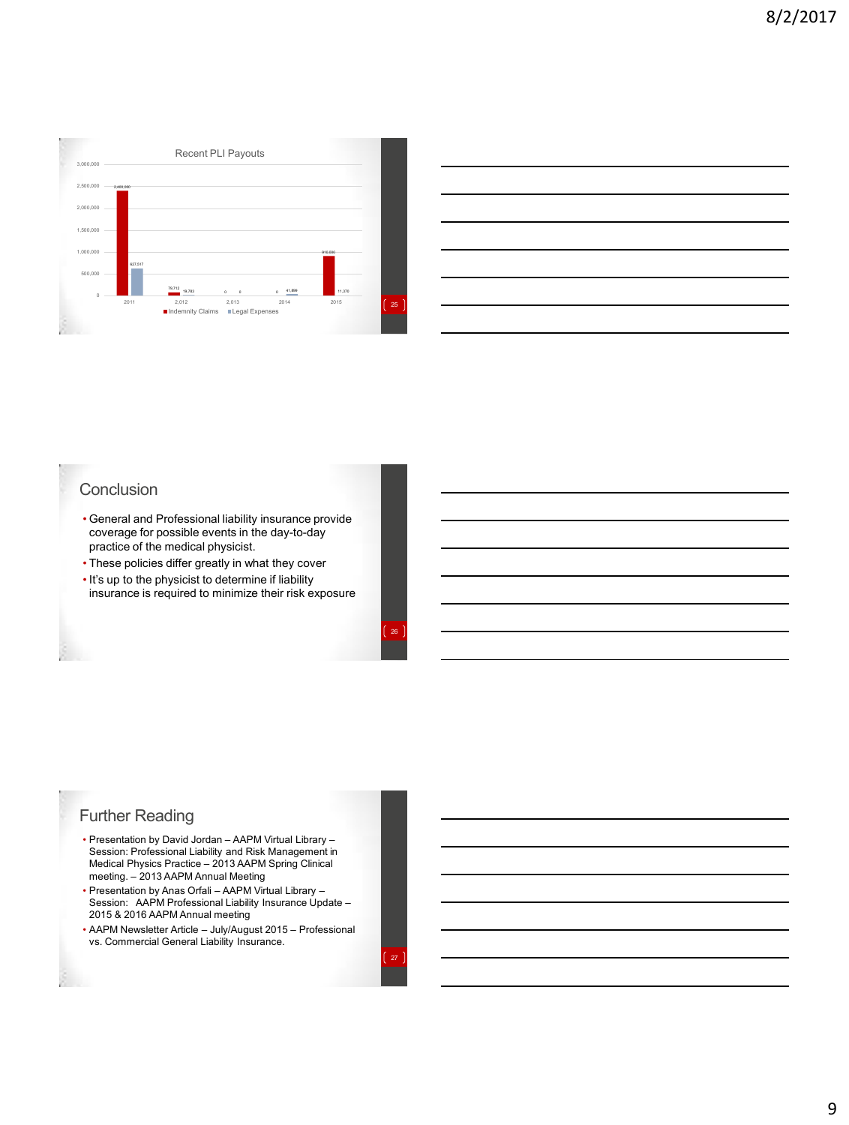

## **Conclusion**

- General and Professional liability insurance provide coverage for possible events in the day-to-day practice of the medical physicist.
- These policies differ greatly in what they cover
- It's up to the physicist to determine if liability insurance is required to minimize their risk exposure

## Further Reading

- Presentation by David Jordan AAPM Virtual Library Session: Professional Liability and Risk Management in Medical Physics Practice – 2013 AAPM Spring Clinical meeting. – 2013 AAPM Annual Meeting
- Presentation by Anas Orfali AAPM Virtual Library Session: AAPM Professional Liability Insurance Update 2015 & 2016 AAPM Annual meeting
- AAPM Newsletter Article July/August 2015 Professional vs. Commercial General Liability Insurance.